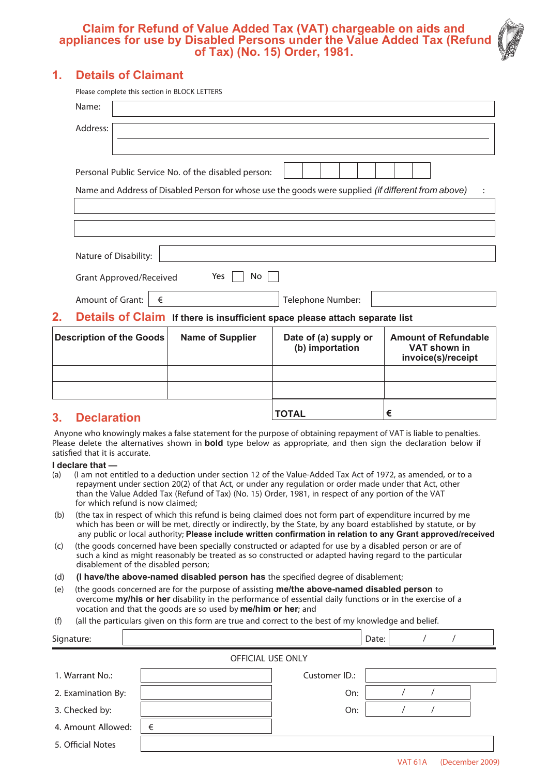### **Claim for Refund of Value Added Tax (VAT) chargeable on aids and appliances for use by Disabled Persons under the Value Added Tax (Refund of Tax) (No. 15) Order, 1981.**

## **1. Details of Claimant**

|          | <b>Grant Approved/Received</b><br>Amount of Grant: | €<br>Details of Claim If there is insufficient space please attach separate list | Telephone Number: |                                                                                                            |  |
|----------|----------------------------------------------------|----------------------------------------------------------------------------------|-------------------|------------------------------------------------------------------------------------------------------------|--|
|          |                                                    |                                                                                  |                   |                                                                                                            |  |
|          |                                                    |                                                                                  |                   |                                                                                                            |  |
|          |                                                    | Yes                                                                              | No                |                                                                                                            |  |
|          | Nature of Disability:                              |                                                                                  |                   |                                                                                                            |  |
|          |                                                    |                                                                                  |                   |                                                                                                            |  |
|          |                                                    |                                                                                  |                   |                                                                                                            |  |
|          |                                                    |                                                                                  |                   | Name and Address of Disabled Person for whose use the goods were supplied <i>(if different from above)</i> |  |
|          |                                                    | Personal Public Service No. of the disabled person:                              |                   |                                                                                                            |  |
| Address: |                                                    |                                                                                  |                   |                                                                                                            |  |
|          |                                                    |                                                                                  |                   |                                                                                                            |  |
| Name:    |                                                    |                                                                                  |                   |                                                                                                            |  |

## **3. Declaration**

Anyone who knowingly makes a false statement for the purpose of obtaining repayment of VAT is liable to penalties. Please delete the alternatives shown in **bold** type below as appropriate, and then sign the declaration below if satisfied that it is accurate.

**TOTAL €**

# **I declare that —**<br>(a) (I am not e

- (I am not entitled to a deduction under section 12 of the Value-Added Tax Act of 1972, as amended, or to a repayment under section 20(2) of that Act, or under any regulation or order made under that Act, other than the Value Added Tax (Refund of Tax) (No. 15) Order, 1981, in respect of any portion of the VAT for which refund is now claimed;
- (b) (the tax in respect of which this refund is being claimed does not form part of expenditure incurred by me which has been or will be met, directly or indirectly, by the State, by any board established by statute, or by any public or local authority; **Please include written confirmation in relation to any Grant approved/received**
- (c) (the goods concerned have been specially constructed or adapted for use by a disabled person or are of such a kind as might reasonably be treated as so constructed or adapted having regard to the particular disablement of the disabled person;
- (d) **(I have/the above-named disabled person has** the specified degree of disablement;
- (e) (the goods concerned are for the purpose of assisting **me/the above-named disabled person** to overcome **my/his or her** disability in the performance of essential daily functions or in the exercise of a vocation and that the goods are so used by **me/him or her**; and
- (f) (all the particulars given on this form are true and correct to the best of my knowledge and belief.

| Signature:               |   |               | Date: |  |  |  |  |  |  |  |
|--------------------------|---|---------------|-------|--|--|--|--|--|--|--|
| <b>OFFICIAL USE ONLY</b> |   |               |       |  |  |  |  |  |  |  |
| 1. Warrant No.:          |   | Customer ID.: |       |  |  |  |  |  |  |  |
| 2. Examination By:       |   | On:           |       |  |  |  |  |  |  |  |
| 3. Checked by:           |   | On:           |       |  |  |  |  |  |  |  |
| 4. Amount Allowed:       | € |               |       |  |  |  |  |  |  |  |
| 5. Official Notes        |   |               |       |  |  |  |  |  |  |  |